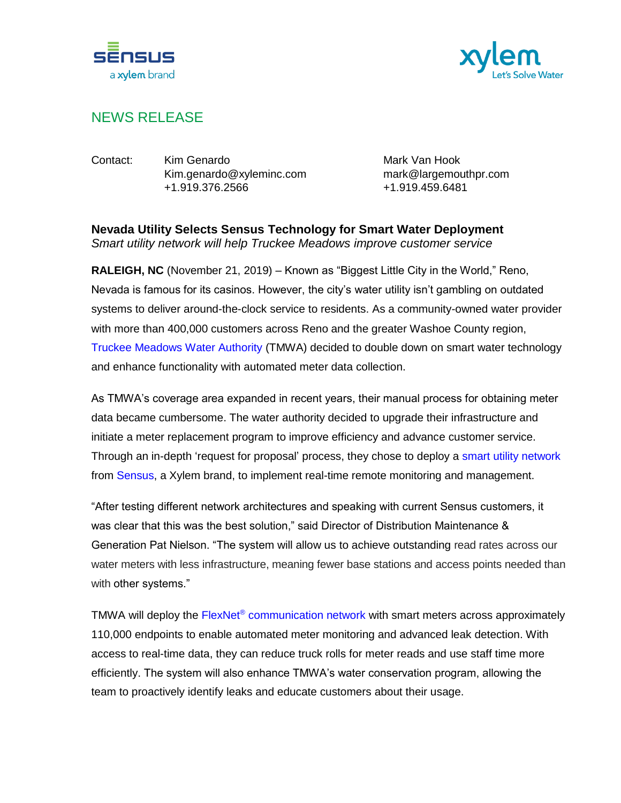



## NEWS RELEASE

Contact: Kim Genardo Mark Van Hook Kim.genardo@xyleminc.com mark@largemouthpr.com +1.919.376.2566 +1.919.459.6481

**Nevada Utility Selects Sensus Technology for Smart Water Deployment**  *Smart utility network will help Truckee Meadows improve customer service* 

**RALEIGH, NC** (November 21, 2019) – Known as "Biggest Little City in the World," Reno, Nevada is famous for its casinos. However, the city's water utility isn't gambling on outdated systems to deliver around-the-clock service to residents. As a community-owned water provider with more than 400,000 customers across Reno and the greater Washoe County region, [Truckee Meadows Water Authority](https://tmwa.com/) (TMWA) decided to double down on smart water technology and enhance functionality with automated meter data collection.

As TMWA's coverage area expanded in recent years, their manual process for obtaining meter data became cumbersome. The water authority decided to upgrade their infrastructure and initiate a meter replacement program to improve efficiency and advance customer service. Through an in-depth 'request for proposal' process, they chose to deploy a [smart utility network](https://sensus.com/smart-water-network/) from [Sensus,](https://sensus.com/) a Xylem brand, to implement real-time remote monitoring and management.

"After testing different network architectures and speaking with current Sensus customers, it was clear that this was the best solution," said Director of Distribution Maintenance & Generation Pat Nielson. "The system will allow us to achieve outstanding read rates across our water meters with less infrastructure, meaning fewer base stations and access points needed than with other systems."

TMWA will deploy the FlexNet<sup>®</sup> [communication network](https://sensus.com/communication-networks/sensus-technologies/flexnet-north-america/) with smart meters across approximately 110,000 endpoints to enable automated meter monitoring and advanced leak detection. With access to real-time data, they can reduce truck rolls for meter reads and use staff time more efficiently. The system will also enhance TMWA's water conservation program, allowing the team to proactively identify leaks and educate customers about their usage.